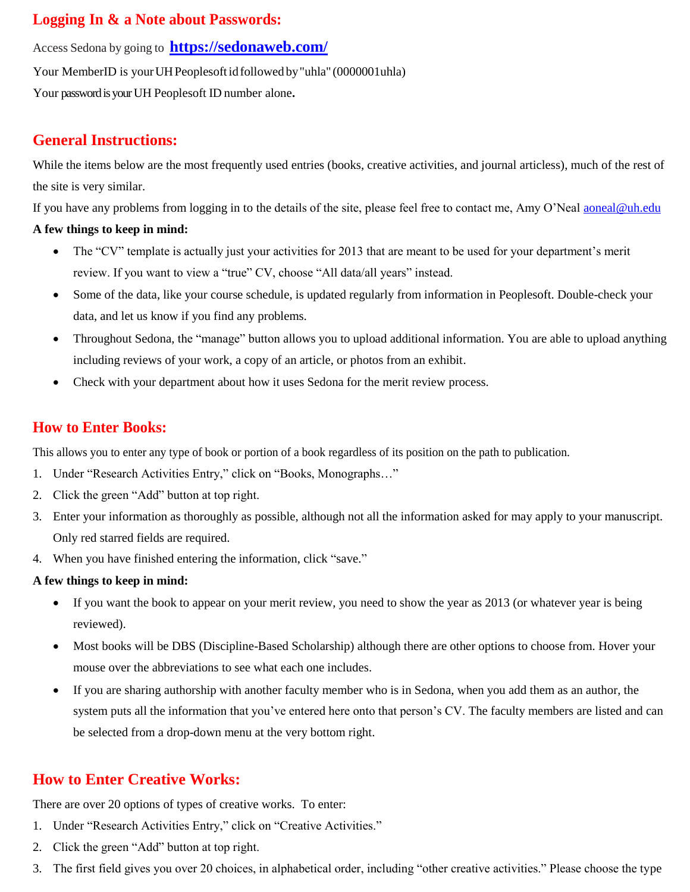## **Logging In & a Note about Passwords:**

Access Sedona by going to **<https://sedonaweb.com/>**

Your MemberID is your UH Peoplesoft id followed by "uhla" (0000001uhla)

Your password is your UH Peoplesoft ID number alone**.**

## **General Instructions:**

While the items below are the most frequently used entries (books, creative activities, and journal articless), much of the rest of the site is very similar.

If you have any problems from logging in to the details of the site, please feel free to contact me, Amy O'Neal [aoneal@uh.edu](mailto:aoneal@uh.edu)

#### **A few things to keep in mind:**

- The "CV" template is actually just your activities for 2013 that are meant to be used for your department's merit review. If you want to view a "true" CV, choose "All data/all years" instead.
- Some of the data, like your course schedule, is updated regularly from information in Peoplesoft. Double-check your data, and let us know if you find any problems.
- Throughout Sedona, the "manage" button allows you to upload additional information. You are able to upload anything including reviews of your work, a copy of an article, or photos from an exhibit.
- Check with your department about how it uses Sedona for the merit review process.

## **How to Enter Books:**

This allows you to enter any type of book or portion of a book regardless of its position on the path to publication.

- 1. Under "Research Activities Entry," click on "Books, Monographs…"
- 2. Click the green "Add" button at top right.
- 3. Enter your information as thoroughly as possible, although not all the information asked for may apply to your manuscript. Only red starred fields are required.
- 4. When you have finished entering the information, click "save."

#### **A few things to keep in mind:**

- If you want the book to appear on your merit review, you need to show the year as 2013 (or whatever year is being reviewed).
- Most books will be DBS (Discipline-Based Scholarship) although there are other options to choose from. Hover your mouse over the abbreviations to see what each one includes.
- If you are sharing authorship with another faculty member who is in Sedona, when you add them as an author, the system puts all the information that you've entered here onto that person's CV. The faculty members are listed and can be selected from a drop-down menu at the very bottom right.

# **How to Enter Creative Works:**

There are over 20 options of types of creative works. To enter:

- 1. Under "Research Activities Entry," click on "Creative Activities."
- 2. Click the green "Add" button at top right.
- 3. The first field gives you over 20 choices, in alphabetical order, including "other creative activities." Please choose the type